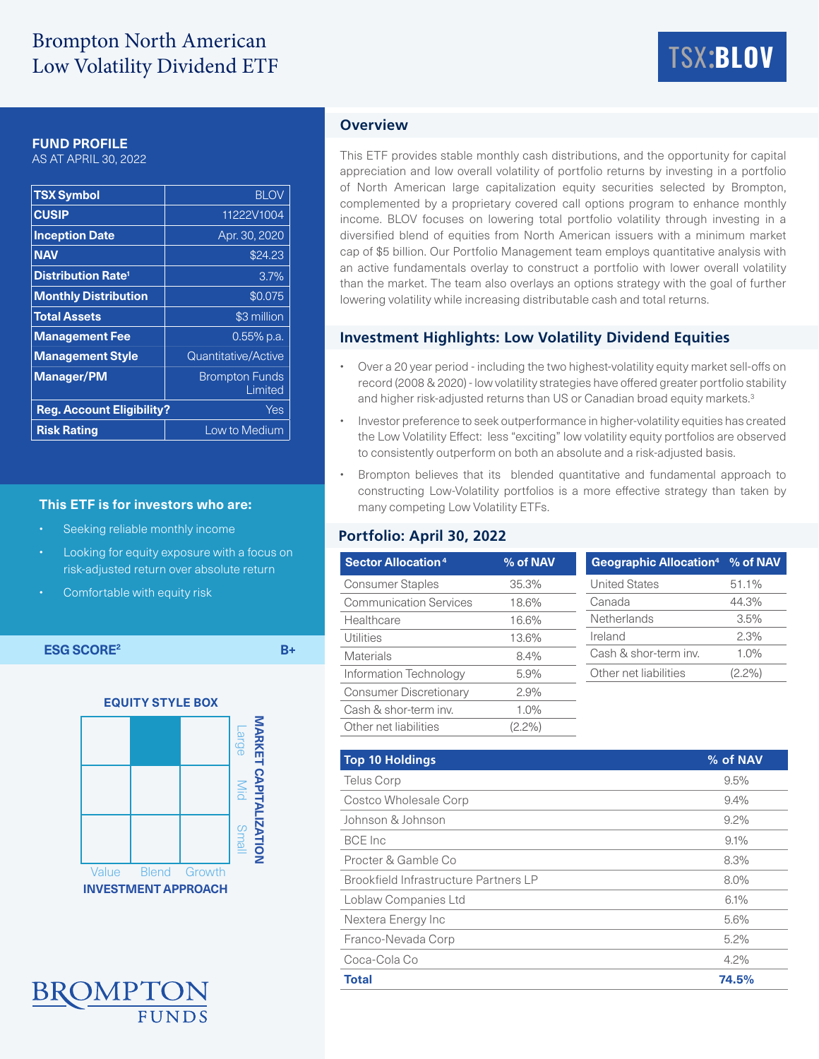# Brompton North American Low Volatility Dividend ETF

# TSX:**BLOV**

#### **FUND PROFILE**

AS AT APRIL 30, 2022

| <b>TSX Symbol</b>                    | <b>BLOV</b>                      |  |  |  |
|--------------------------------------|----------------------------------|--|--|--|
| <b>CUSIP</b>                         | 11222V1004                       |  |  |  |
| <b>Inception Date</b>                | Apr. 30, 2020                    |  |  |  |
| <b>NAV</b>                           | \$24.23                          |  |  |  |
| <b>Distribution Rate<sup>1</sup></b> | 3.7%                             |  |  |  |
| <b>Monthly Distribution</b>          | \$0.075                          |  |  |  |
| <b>Total Assets</b>                  | \$3 million                      |  |  |  |
| <b>Management Fee</b>                | $0.55\%$ p.a.                    |  |  |  |
| <b>Management Style</b>              | Quantitative/Active              |  |  |  |
| <b>Manager/PM</b>                    | <b>Brompton Funds</b><br>Limited |  |  |  |
| <b>Reg. Account Eligibility?</b>     | Yes                              |  |  |  |
| <b>Risk Rating</b>                   | Low to Medium                    |  |  |  |

#### **This ETF is for investors who are:**

- Seeking reliable monthly income
- Looking for equity exposure with a focus on risk-adjusted return over absolute return
- Comfortable with equity risk

**ESG SCORE2 B+**





# **Overview**

This ETF provides stable monthly cash distributions, and the opportunity for capital appreciation and low overall volatility of portfolio returns by investing in a portfolio of North American large capitalization equity securities selected by Brompton, complemented by a proprietary covered call options program to enhance monthly income. BLOV focuses on lowering total portfolio volatility through investing in a diversified blend of equities from North American issuers with a minimum market cap of \$5 billion. Our Portfolio Management team employs quantitative analysis with an active fundamentals overlay to construct a portfolio with lower overall volatility than the market. The team also overlays an options strategy with the goal of further lowering volatility while increasing distributable cash and total returns.

#### **Investment Highlights: Low Volatility Dividend Equities**

- Over a 20 year period including the two highest-volatility equity market sell-offs on record (2008 & 2020) - low volatility strategies have offered greater portfolio stability and higher risk-adjusted returns than US or Canadian broad equity markets.<sup>3</sup>
- Investor preference to seek outperformance in higher-volatility equities has created the Low Volatility Effect: less "exciting" low volatility equity portfolios are observed to consistently outperform on both an absolute and a risk-adjusted basis.
- Brompton believes that its blended quantitative and fundamental approach to constructing Low-Volatility portfolios is a more effective strategy than taken by many competing Low Volatility ETFs.

## **Portfolio: April 30, 2022**

| <b>Sector Allocation<sup>4</sup></b> | % of NAV  | Geographic Allocation <sup>4</sup> % of NAV |           |
|--------------------------------------|-----------|---------------------------------------------|-----------|
| <b>Consumer Staples</b>              | 35.3%     | <b>United States</b>                        | 51.1%     |
| <b>Communication Services</b>        | 18.6%     | Canada                                      | 44.3%     |
| Healthcare                           | 16.6%     | Netherlands                                 | 3.5%      |
| Utilities                            | 13.6%     | Ireland                                     | 2.3%      |
| <b>Materials</b>                     | 8.4%      | Cash & shor-term inv.                       | 1.0%      |
| Information Technology               | 5.9%      | Other net liabilities                       | $(2.2\%)$ |
| <b>Consumer Discretionary</b>        | 2.9%      |                                             |           |
| Cash & shor-term inv.                | $1.0\%$   |                                             |           |
| Other net liabilities                | $(2.2\%)$ |                                             |           |

| <b>Top 10 Holdings</b>                | % of NAV |
|---------------------------------------|----------|
| <b>Telus Corp</b>                     | 9.5%     |
| <b>Costco Wholesale Corp</b>          | 9.4%     |
| Johnson & Johnson                     | $9.2\%$  |
| <b>BCE</b> Inc                        | 9.1%     |
| Procter & Gamble Co.                  | 8.3%     |
| Brookfield Infrastructure Partners LP | 8.0%     |
| Loblaw Companies Ltd                  | 6.1%     |
| Nextera Energy Inc                    | 5.6%     |
| Franco-Nevada Corp                    | 5.2%     |
| Coca-Cola Co                          | $4.2\%$  |
| <b>Total</b>                          | 74.5%    |